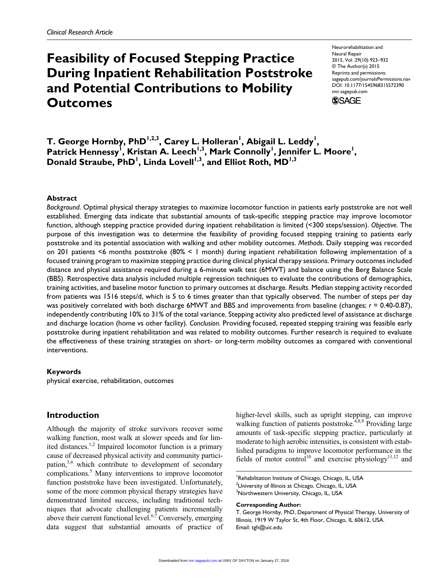# **Feasibility of Focused Stepping Practice During Inpatient Rehabilitation Poststroke and Potential Contributions to Mobility Outcomes**

Neurorehabilitation and Neural Repair 2015, Vol. 29(10) 923–932 © The Author(s) 2015 Reprints and permissions: sagepub.com/journalsPermissions.nav DOI: 10.1177/1545968315572390 nnr.sagepub.com **SSAGE** 

T. George Hornby, PhD<sup>1,2,3</sup>, Carey L. Holleran<sup>1</sup>, Abigail L. Leddy<sup>1</sup>, Patrick Hennessy<sup>1</sup>, Kristan A. Leech<sup>1,3</sup>, Mark Connolly<sup>1</sup>, Jennifer L. Moore<sup>1</sup>, Donald Straube, PhD<sup>1</sup>, Linda Lovell<sup>1,3</sup>, and Elliot Roth, MD<sup>1,3</sup>

#### **Abstract**

*Background*. Optimal physical therapy strategies to maximize locomotor function in patients early poststroke are not well established. Emerging data indicate that substantial amounts of task-specific stepping practice may improve locomotor function, although stepping practice provided during inpatient rehabilitation is limited (<300 steps/session). *Objective.* The purpose of this investigation was to determine the feasibility of providing focused stepping training to patients early poststroke and its potential association with walking and other mobility outcomes. *Methods*. Daily stepping was recorded on 201 patients <6 months poststroke (80% < 1 month) during inpatient rehabilitation following implementation of a focused training program to maximize stepping practice during clinical physical therapy sessions. Primary outcomes included distance and physical assistance required during a 6-minute walk test (6MWT) and balance using the Berg Balance Scale (BBS). Retrospective data analysis included multiple regression techniques to evaluate the contributions of demographics, training activities, and baseline motor function to primary outcomes at discharge. *Results*. Median stepping activity recorded from patients was 1516 steps/d, which is 5 to 6 times greater than that typically observed. The number of steps per day was positively correlated with both discharge 6MWT and BBS and improvements from baseline (changes; *r* = 0.40-0.87), independently contributing 10% to 31% of the total variance. Stepping activity also predicted level of assistance at discharge and discharge location (home vs other facility). *Conclusion.* Providing focused, repeated stepping training was feasible early poststroke during inpatient rehabilitation and was related to mobility outcomes. Further research is required to evaluate the effectiveness of these training strategies on short- or long-term mobility outcomes as compared with conventional interventions.

#### **Keywords**

physical exercise, rehabilitation, outcomes

# **Introduction**

Although the majority of stroke survivors recover some walking function, most walk at slower speeds and for limited distances.<sup>1,2</sup> Impaired locomotor function is a primary cause of decreased physical activity and community participation, $3,4$  which contribute to development of secondary complications.<sup>5</sup> Many interventions to improve locomotor function poststroke have been investigated. Unfortunately, some of the more common physical therapy strategies have demonstrated limited success, including traditional techniques that advocate challenging patients incrementally above their current functional level. $6,7$  Conversely, emerging data suggest that substantial amounts of practice of

higher-level skills, such as upright stepping, can improve walking function of patients poststroke.<sup>4,8,9</sup> Providing large amounts of task-specific stepping practice, particularly at moderate to high aerobic intensities, is consistent with established paradigms to improve locomotor performance in the fields of motor control<sup>10</sup> and exercise physiology<sup>11,12</sup> and

<sup>1</sup>Rehabilitation Institute of Chicago, Chicago, IL, USA  $^2$ University of Illinois at Chicago, Chicago, IL, USA <sup>3</sup>Northwestern University, Chicago, IL, USA

#### **Corresponding Author:**

T. George Hornby, PhD, Department of Physical Therapy, University of Illinois, 1919 W Taylor St, 4th Floor, Chicago, IL 60612, USA. Email: [tgh@uic.edu](mailto:tgh@uic.edu)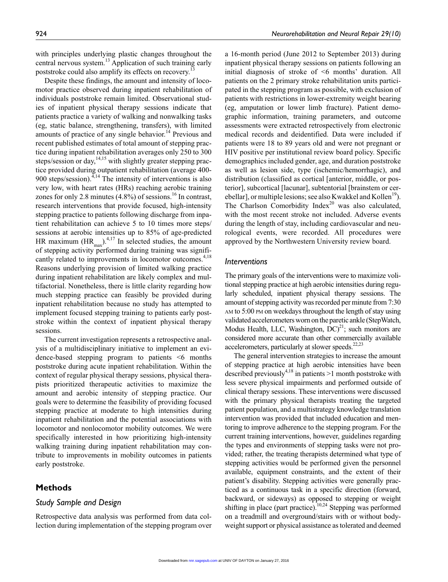with principles underlying plastic changes throughout the central nervous system.<sup>13</sup> Application of such training early poststroke could also amplify its effects on recovery.<sup>13</sup>

Despite these findings, the amount and intensity of locomotor practice observed during inpatient rehabilitation of individuals poststroke remain limited. Observational studies of inpatient physical therapy sessions indicate that patients practice a variety of walking and nonwalking tasks (eg, static balance, strengthening, transfers), with limited amounts of practice of any single behavior.<sup>14</sup> Previous and recent published estimates of total amount of stepping practice during inpatient rehabilitation averages only 250 to 300 steps/session or day,  $14,15$  with slightly greater stepping practice provided during outpatient rehabilitation (average 400- 900 steps/session). $4,14$  The intensity of interventions is also very low, with heart rates (HRs) reaching aerobic training zones for only 2.8 minutes  $(4.8\%)$  of sessions.<sup>16</sup> In contrast, research interventions that provide focused, high-intensity stepping practice to patients following discharge from inpatient rehabilitation can achieve 5 to 10 times more steps/ sessions at aerobic intensities up to 85% of age-predicted HR maximum  $(HR<sub>max</sub>)<sup>4,17</sup>$  In selected studies, the amount of stepping activity performed during training was significantly related to improvements in locomotor outcomes.<sup>4,18</sup> Reasons underlying provision of limited walking practice during inpatient rehabilitation are likely complex and multifactorial. Nonetheless, there is little clarity regarding how much stepping practice can feasibly be provided during inpatient rehabilitation because no study has attempted to implement focused stepping training to patients early poststroke within the context of inpatient physical therapy sessions.

The current investigation represents a retrospective analysis of a multidisciplinary initiative to implement an evidence-based stepping program to patients <6 months poststroke during acute inpatient rehabilitation. Within the context of regular physical therapy sessions, physical therapists prioritized therapeutic activities to maximize the amount and aerobic intensity of stepping practice. Our goals were to determine the feasibility of providing focused stepping practice at moderate to high intensities during inpatient rehabilitation and the potential associations with locomotor and nonlocomotor mobility outcomes. We were specifically interested in how prioritizing high-intensity walking training during inpatient rehabilitation may contribute to improvements in mobility outcomes in patients early poststroke.

# **Methods**

## *Study Sample and Design*

Retrospective data analysis was performed from data collection during implementation of the stepping program over

a 16-month period (June 2012 to September 2013) during inpatient physical therapy sessions on patients following an initial diagnosis of stroke of <6 months' duration. All patients on the 2 primary stroke rehabilitation units participated in the stepping program as possible, with exclusion of patients with restrictions in lower-extremity weight bearing (eg, amputation or lower limb fracture). Patient demographic information, training parameters, and outcome assessments were extracted retrospectively from electronic medical records and deidentified. Data were included if patients were 18 to 89 years old and were not pregnant or HIV positive per institutional review board policy. Specific demographics included gender, age, and duration poststroke as well as lesion side, type (ischemic/hemorrhagic), and distribution (classified as cortical [anterior, middle, or posterior], subcortical [lacunar], subtentorial [brainstem or cerebellar], or multiple lesions; see also Kwakkel and Kollen<sup>19</sup>). The Charlson Comorbidity Index<sup>20</sup> was also calculated, with the most recent stroke not included. Adverse events during the length of stay, including cardiovascular and neurological events, were recorded. All procedures were approved by the Northwestern University review board.

#### *Interventions*

The primary goals of the interventions were to maximize volitional stepping practice at high aerobic intensities during regularly scheduled, inpatient physical therapy sessions. The amount of stepping activity was recorded per minute from 7:30 am to 5:00 pm on weekdays throughout the length of stay using validated accelerometers worn on the paretic ankle (StepWatch, Modus Health, LLC, Washington,  $DC)^{21}$ ; such monitors are considered more accurate than other commercially available accelerometers, particularly at slower speeds. $22,23$ 

The general intervention strategies to increase the amount of stepping practice at high aerobic intensities have been described previously<sup>4,18</sup> in patients  $>1$  month poststroke with less severe physical impairments and performed outside of clinical therapy sessions. These interventions were discussed with the primary physical therapists treating the targeted patient population, and a multistrategy knowledge translation intervention was provided that included education and mentoring to improve adherence to the stepping program. For the current training interventions, however, guidelines regarding the types and environments of stepping tasks were not provided; rather, the treating therapists determined what type of stepping activities would be performed given the personnel available, equipment constraints, and the extent of their patient's disability. Stepping activities were generally practiced as a continuous task in a specific direction (forward, backward, or sideways) as opposed to stepping or weight shifting in place (part practice).<sup>10,24</sup> Stepping was performed on a treadmill and overground/stairs with or without bodyweight support or physical assistance as tolerated and deemed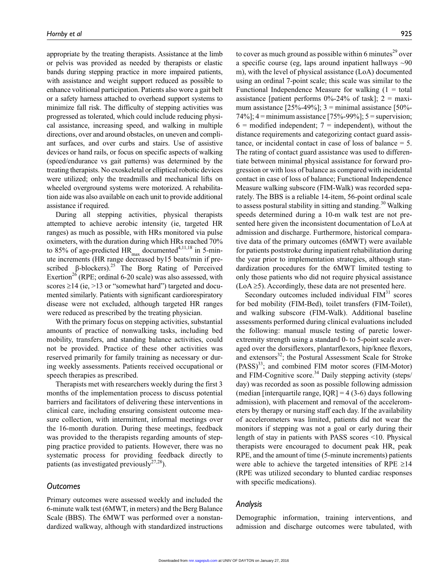appropriate by the treating therapists. Assistance at the limb or pelvis was provided as needed by therapists or elastic bands during stepping practice in more impaired patients, with assistance and weight support reduced as possible to enhance volitional participation. Patients also wore a gait belt or a safety harness attached to overhead support systems to minimize fall risk. The difficulty of stepping activities was progressed as tolerated, which could include reducing physical assistance, increasing speed, and walking in multiple directions, over and around obstacles, on uneven and compliant surfaces, and over curbs and stairs. Use of assistive devices or hand rails, or focus on specific aspects of walking (speed/endurance vs gait patterns) was determined by the treating therapists. No exoskeletal or elliptical robotic devices were utilized; only the treadmills and mechanical lifts on wheeled overground systems were motorized. A rehabilitation aide was also available on each unit to provide additional assistance if required.

During all stepping activities, physical therapists attempted to achieve aerobic intensity (ie, targeted HR ranges) as much as possible, with HRs monitored via pulse oximeters, with the duration during which HRs reached 70% to 85% of age-predicted  $HR_{max}$  documented<sup>4,11,18</sup> in 5-minute increments (HR range decreased by15 beats/min if prescribed  $\beta$ -blockers).<sup>25</sup> The Borg Rating of Perceived Exertion<sup>26</sup> (RPE; ordinal 6-20 scale) was also assessed, with scores  $\geq$ 14 (ie,  $>$ 13 or "somewhat hard") targeted and documented similarly. Patients with significant cardiorespiratory disease were not excluded, although targeted HR ranges were reduced as prescribed by the treating physician.

With the primary focus on stepping activities, substantial amounts of practice of nonwalking tasks, including bed mobility, transfers, and standing balance activities, could not be provided. Practice of these other activities was reserved primarily for family training as necessary or during weekly assessments. Patients received occupational or speech therapies as prescribed.

Therapists met with researchers weekly during the first 3 months of the implementation process to discuss potential barriers and facilitators of delivering these interventions in clinical care, including ensuring consistent outcome measure collection, with intermittent, informal meetings over the 16-month duration. During these meetings, feedback was provided to the therapists regarding amounts of stepping practice provided to patients. However, there was no systematic process for providing feedback directly to patients (as investigated previously $27,28$ ).

#### *Outcomes*

Primary outcomes were assessed weekly and included the 6-minute walk test (6MWT, in meters) and the Berg Balance Scale (BBS). The 6MWT was performed over a nonstandardized walkway, although with standardized instructions

to cover as much ground as possible within 6 minutes $^{29}$  over a specific course (eg, laps around inpatient hallways ~90 m), with the level of physical assistance (LoA) documented using an ordinal 7-point scale; this scale was similar to the Functional Independence Measure for walking  $(1 = total)$ assistance [patient performs  $0\%$ -24% of task];  $2 = \text{maxi}$ mum assistance  $[25\% - 49\%]$ ; 3 = minimal assistance  $[50\% -$ 74%];  $4 =$ minimum assistance [75%-99%];  $5 =$ supervision;  $6 =$  modified independent;  $7 =$  independent), without the distance requirements and categorizing contact guard assistance, or incidental contact in case of loss of balance = 5. The rating of contact guard assistance was used to differentiate between minimal physical assistance for forward progression or with loss of balance as compared with incidental contact in case of loss of balance; Functional Independence Measure walking subscore (FIM-Walk) was recorded separately. The BBS is a reliable 14-item, 56-point ordinal scale to assess postural stability in sitting and standing.<sup>30</sup> Walking speeds determined during a 10-m walk test are not presented here given the inconsistent documentation of LoA at admission and discharge. Furthermore, historical comparative data of the primary outcomes (6MWT) were available for patients poststroke during inpatient rehabilitation during the year prior to implementation strategies, although standardization procedures for the 6MWT limited testing to only those patients who did not require physical assistance  $(LoA \ge 5)$ . Accordingly, these data are not presented here.

Secondary outcomes included individual  $FIM<sup>31</sup>$  scores for bed mobility (FIM-Bed), toilet transfers (FIM-Toilet), and walking subscore (FIM-Walk). Additional baseline assessments performed during clinical evaluations included the following: manual muscle testing of paretic lowerextremity strength using a standard 0- to 5-point scale averaged over the dorsiflexors, plantarflexors, hip/knee flexors, and extensors<sup>32</sup>; the Postural Assessment Scale for Stroke  $(PASS)^{33}$ ; and combined FIM motor scores (FIM-Motor) and FIM-Cognitive score.<sup>34</sup> Daily stepping activity (steps/ day) was recorded as soon as possible following admission (median [interquartile range,  $IQR$ ] = 4 (3-6) days following admission), with placement and removal of the accelerometers by therapy or nursing staff each day. If the availability of accelerometers was limited, patients did not wear the monitors if stepping was not a goal or early during their length of stay in patients with PASS scores <10. Physical therapists were encouraged to document peak HR, peak RPE, and the amount of time (5-minute increments) patients were able to achieve the targeted intensities of RPE  $\geq$ 14 (RPE was utilized secondary to blunted cardiac responses with specific medications).

### *Analysis*

Demographic information, training interventions, and admission and discharge outcomes were tabulated, with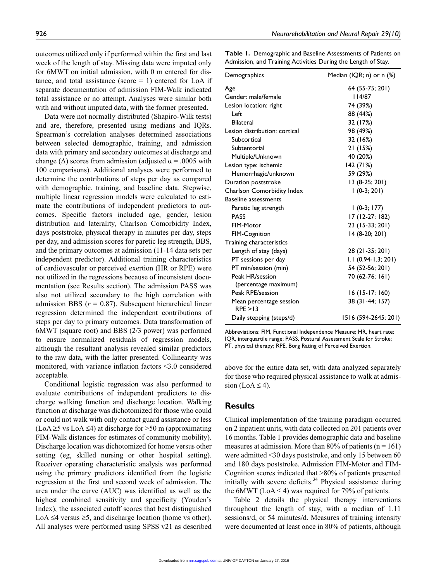outcomes utilized only if performed within the first and last week of the length of stay. Missing data were imputed only for 6MWT on initial admission, with 0 m entered for distance, and total assistance (score  $= 1$ ) entered for LoA if separate documentation of admission FIM-Walk indicated total assistance or no attempt. Analyses were similar both with and without imputed data, with the former presented.

Data were not normally distributed (Shapiro-Wilk tests) and are, therefore, presented using medians and IQRs. Spearman's correlation analyses determined associations between selected demographic, training, and admission data with primary and secondary outcomes at discharge and change ( $\Delta$ ) scores from admission (adjusted  $\alpha$  = .0005 with 100 comparisons). Additional analyses were performed to determine the contributions of steps per day as compared with demographic, training, and baseline data. Stepwise, multiple linear regression models were calculated to estimate the contributions of independent predictors to outcomes. Specific factors included age, gender, lesion distribution and laterality, Charlson Comorbidity Index, days poststroke, physical therapy in minutes per day, steps per day, and admission scores for paretic leg strength, BBS, and the primary outcomes at admission (11-14 data sets per independent predictor). Additional training characteristics of cardiovascular or perceived exertion (HR or RPE) were not utilized in the regressions because of inconsistent documentation (see Results section). The admission PASS was also not utilized secondary to the high correlation with admission BBS (*r* = 0.87). Subsequent hierarchical linear regression determined the independent contributions of steps per day to primary outcomes. Data transformation of 6MWT (square root) and BBS (2/3 power) was performed to ensure normalized residuals of regression models, although the resultant analysis revealed similar predictors to the raw data, with the latter presented. Collinearity was monitored, with variance inflation factors <3.0 considered acceptable.

Conditional logistic regression was also performed to evaluate contributions of independent predictors to discharge walking function and discharge location. Walking function at discharge was dichotomized for those who could or could not walk with only contact guard assistance or less (LoA ≥5 vs LoA ≤4) at discharge for >50 m (approximating FIM-Walk distances for estimates of community mobility). Discharge location was dichotomized for home versus other setting (eg, skilled nursing or other hospital setting). Receiver operating characteristic analysis was performed using the primary predictors identified from the logistic regression at the first and second week of admission. The area under the curve (AUC) was identified as well as the highest combined sensitivity and specificity (Youden's Index), the associated cutoff scores that best distinguished LoA  $\leq$ 4 versus  $\geq$ 5, and discharge location (home vs other). All analyses were performed using SPSS v21 as described **Table 1.** Demographic and Baseline Assessments of Patients on Admission, and Training Activities During the Length of Stay.

| Demographics                        | Median (IQR; n) or n (%) |
|-------------------------------------|--------------------------|
| Age                                 | 64 (55-75; 201)          |
| Gender: male/female                 | 4/87                     |
| Lesion location: right              | 74 (39%)                 |
| Left                                | 88 (44%)                 |
| <b>Bilateral</b>                    | 32 (17%)                 |
| Lesion distribution: cortical       | 98 (49%)                 |
| Subcortical                         | 32 (16%)                 |
| Subtentorial                        | 21 (15%)                 |
| Multiple/Unknown                    | 40 (20%)                 |
| Lesion type: ischemic               | 142 (71%)                |
| Hemorrhagic/unknown                 | 59 (29%)                 |
| Duration poststroke                 | 13 (8-25; 201)           |
| Charlson Comorbidity Index          | $1(0-3; 201)$            |
| <b>Baseline assessments</b>         |                          |
| Paretic leg strength                | $1(0-3; 177)$            |
| <b>PASS</b>                         | 17 (12-27; 182)          |
| FIM-Motor                           | 23 (15-33; 201)          |
| <b>FIM-Cognition</b>                | 14 (8-20; 201)           |
| Training characteristics            |                          |
| Length of stay (days)               | 28 (21-35; 201)          |
| PT sessions per day                 | $1.1(0.94-1.3; 201)$     |
| PT min/session (min)                | 54 (52-56; 201)          |
| Peak HR/session                     | 70 (62-76; 161)          |
| (percentage maximum)                |                          |
| Peak RPE/session                    | 16 (15-17; 160)          |
| Mean percentage session<br>RPF > 13 | 38 (31-44; 157)          |
| Daily stepping (steps/d)            | 1516 (594-2645; 201)     |

Abbreviations: FIM, Functional Independence Measure; HR, heart rate; IQR, interquartile range; PASS, Postural Assessment Scale for Stroke; PT, physical therapy; RPE, Borg Rating of Perceived Exertion.

above for the entire data set, with data analyzed separately for those who required physical assistance to walk at admission (LoA  $\leq$  4).

# **Results**

Clinical implementation of the training paradigm occurred on 2 inpatient units, with data collected on 201 patients over 16 months. Table 1 provides demographic data and baseline measures at admission. More than 80% of patients ( $n = 161$ ) were admitted <30 days poststroke, and only 15 between 60 and 180 days poststroke. Admission FIM-Motor and FIM-Cognition scores indicated that >80% of patients presented initially with severe deficits.<sup>34</sup> Physical assistance during the 6MWT (LoA  $\leq$  4) was required for 79% of patients.

Table 2 details the physical therapy interventions throughout the length of stay, with a median of 1.11 sessions/d, or 54 minutes/d. Measures of training intensity were documented at least once in 80% of patients, although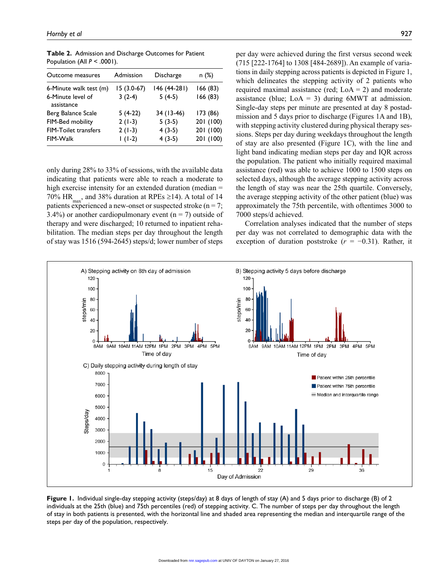| Outcome measures                | Admission    | Discharge    | n (%)     |
|---------------------------------|--------------|--------------|-----------|
| 6-Minute walk test (m)          | $15(3.0-67)$ | 146 (44-281) | 166 (83)  |
| 6-Minute level of<br>assistance | $3(2-4)$     | $5(4-5)$     | 166 (83)  |
| Berg Balance Scale              | $5(4-22)$    | 34 (13-46)   | 173 (86)  |
| FIM-Bed mobility                | $2(1-3)$     | $5(3-5)$     | 201 (100) |
| <b>FIM-Toilet transfers</b>     | $2(1-3)$     | $4(3-5)$     | 201 (100) |
| FIM-Walk                        | $1(1-2)$     | $4(3-5)$     | 201 (100) |
|                                 |              |              |           |

**Table 2.** Admission and Discharge Outcomes for Patient Population (All *P* < .0001).

only during 28% to 33% of sessions, with the available data indicating that patients were able to reach a moderate to high exercise intensity for an extended duration (median = 70% HR<sub>max</sub>, and 38% duration at RPEs ≥14). A total of 14 patients experienced a new-onset or suspected stroke ( $n = 7$ ; 3.4%) or another cardiopulmonary event ( $n = 7$ ) outside of therapy and were discharged; 10 returned to inpatient rehabilitation. The median steps per day throughout the length of stay was 1516 (594-2645) steps/d; lower number of steps

per day were achieved during the first versus second week (715 [222-1764] to 1308 [484-2689]). An example of variations in daily stepping across patients is depicted in Figure 1, which delineates the stepping activity of 2 patients who required maximal assistance (red;  $LoA = 2$ ) and moderate assistance (blue;  $LoA = 3$ ) during 6MWT at admission. Single-day steps per minute are presented at day 8 postadmission and 5 days prior to discharge (Figures 1A and 1B), with stepping activity clustered during physical therapy sessions. Steps per day during weekdays throughout the length of stay are also presented (Figure 1C), with the line and light band indicating median steps per day and IQR across the population. The patient who initially required maximal assistance (red) was able to achieve 1000 to 1500 steps on selected days, although the average stepping activity across the length of stay was near the 25th quartile. Conversely, the average stepping activity of the other patient (blue) was approximately the 75th percentile, with oftentimes 3000 to 7000 steps/d achieved.

Correlation analyses indicated that the number of steps per day was not correlated to demographic data with the exception of duration poststroke (*r* = −0.31). Rather, it



**Figure 1.** Individual single-day stepping activity (steps/day) at 8 days of length of stay (A) and 5 days prior to discharge (B) of 2 individuals at the 25th (blue) and 75th percentiles (red) of stepping activity. C. The number of steps per day throughout the length of stay in both patients is presented, with the horizontal line and shaded area representing the median and interquartile range of the steps per day of the population, respectively.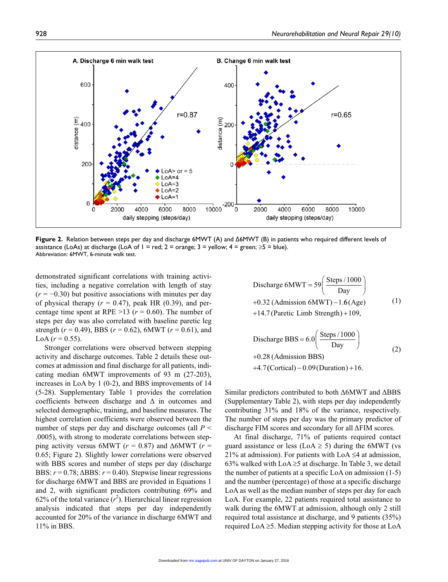

**Figure 2.** Relation between steps per day and discharge 6MWT (A) and Δ6MWT (B) in patients who required different levels of assistance (LoAs) at discharge (LoA of  $1 =$  red;  $2 =$  orange;  $3 =$  yellow;  $4 =$  green;  $\ge 5 =$  blue). Abbreviation: 6MWT, 6-minute walk test.

demonstrated significant correlations with training activities, including a negative correlation with length of stay  $(r = -0.30)$  but positive associations with minutes per day of physical therapy  $(r = 0.47)$ , peak HR  $(0.39)$ , and percentage time spent at RPE  $>13$  ( $r = 0.60$ ). The number of steps per day was also correlated with baseline paretic leg strength  $(r = 0.49)$ , BBS  $(r = 0.62)$ , 6MWT  $(r = 0.61)$ , and LoA  $(r = 0.55)$ .

Stronger correlations were observed between stepping activity and discharge outcomes. Table 2 details these outcomes at admission and final discharge for all patients, indicating median 6MWT improvements of 93 m (27-203), increases in LoA by 1 (0-2), and BBS improvements of 14 (5-28). Supplementary Table 1 provides the correlation coefficients between discharge and  $\Delta$  in outcomes and selected demographic, training, and baseline measures. The highest correlation coefficients were observed between the number of steps per day and discharge outcomes (all *P* < .0005), with strong to moderate correlations between stepping activity versus 6MWT ( $r = 0.87$ ) and  $\Delta$ 6MWT ( $r =$ 0.65; Figure 2). Slightly lower correlations were observed with BBS scores and number of steps per day (discharge BBS:  $r = 0.78$ ;  $\triangle BBS$ :  $r = 0.40$ ). Stepwise linear regressions for discharge 6MWT and BBS are provided in Equations 1 and 2, with significant predictors contributing 69% and 62% of the total variance  $(r^2)$ . Hierarchical linear regression analysis indicated that steps per day independently accounted for 20% of the variance in discharge 6MWT and 11% in BBS.

Discharge 6MWT = 
$$
59 \left( \frac{\text{Steps} / 1000}{\text{Day}} \right)
$$
  
+0.32 (Admission 6MWT) – 1.6 (Age)  $(1)$   
+14.7 (Practice Limb Strength) +109,

Discharge BBS = 
$$
6.0 \left( \frac{\text{Steps} / 1000}{\text{Day}} \right)
$$
  
+0.28 (Admission BBS)  
+4.7 (Cortical) – 0.09 (Duration) + 16.

Similar predictors contributed to both Δ6MWT and ΔBBS (Supplementary Table 2), with steps per day independently contributing 31% and 18% of the variance, respectively. The number of steps per day was the primary predictor of discharge FIM scores and secondary for all ΔFIM scores.

At final discharge, 71% of patients required contact guard assistance or less (LoA  $\geq$  5) during the 6MWT (vs 21% at admission). For patients with LoA  $\leq$ 4 at admission, 63% walked with  $LoA \ge 5$  at discharge. In Table 3, we detail the number of patients at a specific LoA on admission (1-5) and the number (percentage) of those at a specific discharge LoA as well as the median number of steps per day for each LoA. For example, 22 patients required total assistance to walk during the 6MWT at admission, although only 2 still required total assistance at discharge, and 9 patients (35%) required LoA ≥5. Median stepping activity for those at LoA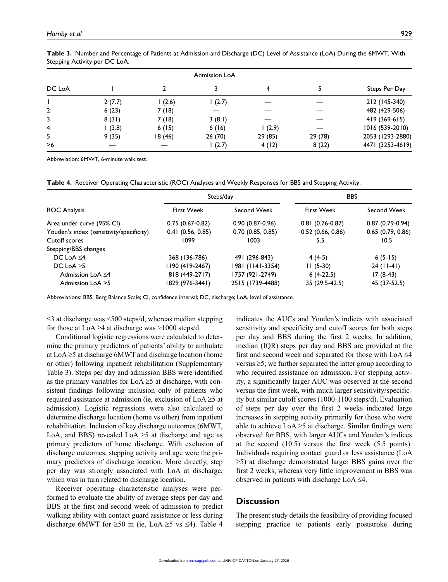|        | <b>Admission LoA</b> |         |        |         |         |                  |
|--------|----------------------|---------|--------|---------|---------|------------------|
| DC LoA |                      |         |        |         |         | Steps Per Day    |
|        | 2(7.7)               | 1(2.6)  | (2.7)  |         |         | 212 (145-340)    |
| 2      | 6(23)                | 7(18)   |        |         |         | 482 (429-506)    |
| 3      | 8(31)                | 7(18)   | 3(8.1) |         |         | 419 (369-615)    |
| 4      | (3.8)                | 6(15)   | 6(16)  | (2.9)   |         | 1016 (539-2010)  |
| 5      | 9(35)                | 18 (46) | 26(70) | 29 (85) | 29 (78) | 2053 (1293-2880) |
| >6     |                      |         | 1(2.7) | 4(12)   | 8(22)   | 4471 (3253-4619) |

**Table 3.** Number and Percentage of Patients at Admission and Discharge (DC) Level of Assistance (LoA) During the 6MWT, With Stepping Activity per DC LoA.

Abbreviation: 6MWT, 6-minute walk test.

**Table 4.** Receiver Operating Characteristic (ROC) Analyses and Weekly Responses for BBS and Stepping Activity.

|                                          |                   | Steps/day         | <b>BBS</b>        |                   |
|------------------------------------------|-------------------|-------------------|-------------------|-------------------|
| <b>ROC Analysis</b>                      | <b>First Week</b> | Second Week       | <b>First Week</b> | Second Week       |
| Area under curve (95% CI)                | $0.75(0.67-0.82)$ | $0.90(0.87-0.96)$ | $0.81(0.76-0.87)$ | $0.87(0.79-0.94)$ |
| Youden's index (sensitivity/specificity) | 0.41(0.56, 0.85)  | 0.70(0.85, 0.85)  | 0.52(0.66, 0.86)  | 0.65(0.79, 0.86)  |
| Cutoff scores                            | 1099              | 1003              | 5.5               | 10.5              |
| Stepping/BBS changes                     |                   |                   |                   |                   |
| DC LoA $\leq$ 4                          | 368 (136-786)     | 491 (296-843)     | $4(4-5)$          | $6(5-15)$         |
| DC LoA $\geq$ 5                          | 1190 (419-2467)   | 1981 (1141-3354)  | $11(5-30)$        | $24$ (11-41)      |
| Admission LoA $\leq$ 4                   | 818 (449-2717)    | 1757 (921-2749)   | $6(4-22.5)$       | $17(8-43)$        |
| Admission LoA >5                         | 1829 (976-3441)   | 2515 (1739-4488)  | 35 (29.5-42.5)    | 45 (37-52.5)      |

Abbreviations: BBS, Berg Balance Scale; CI, confidence interval; DC, discharge; LoA, level of assistance.

 $\leq$ 3 at discharge was  $\leq$ 500 steps/d, whereas median stepping for those at LoA  $\geq$ 4 at discharge was  $>$ 1000 steps/d.

Conditional logistic regressions were calculated to determine the primary predictors of patients' ability to ambulate at  $LoA \geq 5$  at discharge 6MWT and discharge location (home or other) following inpatient rehabilitation (Supplementary Table 3). Steps per day and admission BBS were identified as the primary variables for  $LoA \geq 5$  at discharge, with consistent findings following inclusion only of patients who required assistance at admission (ie, exclusion of  $LoA \geq 5$  at admission). Logistic regressions were also calculated to determine discharge location (home vs other) from inpatient rehabilitation. Inclusion of key discharge outcomes (6MWT, LoA, and BBS) revealed LoA  $\geq$ 5 at discharge and age as primary predictors of home discharge. With exclusion of discharge outcomes, stepping activity and age were the primary predictors of discharge location. More directly, step per day was strongly associated with LoA at discharge, which was in turn related to discharge location.

Receiver operating characteristic analyses were performed to evaluate the ability of average steps per day and BBS at the first and second week of admission to predict walking ability with contact guard assistance or less during discharge 6MWT for ≥50 m (ie, LoA ≥5 vs ≤4). Table 4 indicates the AUCs and Youden's indices with associated sensitivity and specificity and cutoff scores for both steps per day and BBS during the first 2 weeks. In addition, median (IQR) steps per day and BBS are provided at the first and second week and separated for those with  $LoA \leq 4$ versus ≥5; we further separated the latter group according to who required assistance on admission. For stepping activity, a significantly larger AUC was observed at the second versus the first week, with much larger sensitivity/specificity but similar cutoff scores (1000-1100 steps/d). Evaluation of steps per day over the first 2 weeks indicated large increases in stepping activity primarily for those who were able to achieve  $LoA \geq 5$  at discharge. Similar findings were observed for BBS, with larger AUCs and Youden's indices at the second (10.5) versus the first week (5.5 points). Individuals requiring contact guard or less assistance (LoA ≥5) at discharge demonstrated larger BBS gains over the first 2 weeks, whereas very little improvement in BBS was observed in patients with discharge  $LoA \leq 4$ .

# **Discussion**

The present study details the feasibility of providing focused stepping practice to patients early poststroke during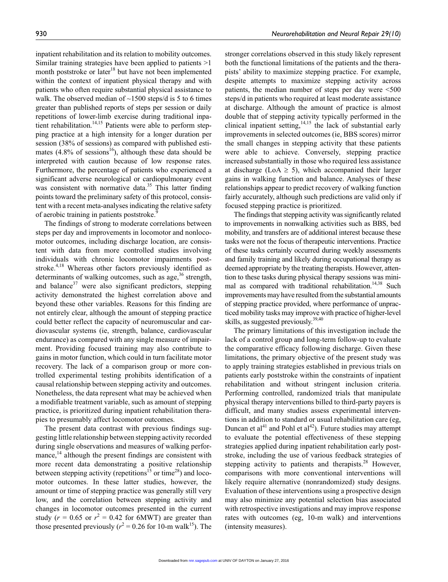inpatient rehabilitation and its relation to mobility outcomes. Similar training strategies have been applied to patients >1 month poststroke or later<sup>18</sup> but have not been implemented within the context of inpatient physical therapy and with patients who often require substantial physical assistance to walk. The observed median of  $\sim$ 1500 steps/d is 5 to 6 times greater than published reports of steps per session or daily repetitions of lower-limb exercise during traditional inpatient rehabilitation.<sup>14,15</sup> Patients were able to perform stepping practice at a high intensity for a longer duration per session (38% of sessions) as compared with published estimates  $(4.8\% \text{ of sessions}^{16})$ , although these data should be interpreted with caution because of low response rates. Furthermore, the percentage of patients who experienced a significant adverse neurological or cardiopulmonary event was consistent with normative data.<sup>35</sup> This latter finding points toward the preliminary safety of this protocol, consistent with a recent meta-analyses indicating the relative safety of aerobic training in patients poststroke.<sup>9</sup>

The findings of strong to moderate correlations between steps per day and improvements in locomotor and nonlocomotor outcomes, including discharge location, are consistent with data from more controlled studies involving individuals with chronic locomotor impairments poststroke.<sup>4,18</sup> Whereas other factors previously identified as determinants of walking outcomes, such as age,  $36$  strength, and balance $37$  were also significant predictors, stepping activity demonstrated the highest correlation above and beyond these other variables. Reasons for this finding are not entirely clear, although the amount of stepping practice could better reflect the capacity of neuromuscular and cardiovascular systems (ie, strength, balance, cardiovascular endurance) as compared with any single measure of impairment. Providing focused training may also contribute to gains in motor function, which could in turn facilitate motor recovery. The lack of a comparison group or more controlled experimental testing prohibits identification of a causal relationship between stepping activity and outcomes. Nonetheless, the data represent what may be achieved when a modifiable treatment variable, such as amount of stepping practice, is prioritized during inpatient rehabilitation therapies to presumably affect locomotor outcomes.

The present data contrast with previous findings suggesting little relationship between stepping activity recorded during single observations and measures of walking performance, $^{14}$  although the present findings are consistent with more recent data demonstrating a positive relationship between stepping activity (repetitions<sup>15</sup> or time<sup>28</sup>) and locomotor outcomes. In these latter studies, however, the amount or time of stepping practice was generally still very low, and the correlation between stepping activity and changes in locomotor outcomes presented in the current study ( $r = 0.65$  or  $r^2 = 0.42$  for 6MWT) are greater than those presented previously ( $r^2$  = 0.26 for 10-m walk<sup>15</sup>). The

stronger correlations observed in this study likely represent both the functional limitations of the patients and the therapists' ability to maximize stepping practice. For example, despite attempts to maximize stepping activity across patients, the median number of steps per day were <500 steps/d in patients who required at least moderate assistance at discharge. Although the amount of practice is almost double that of stepping activity typically performed in the clinical inpatient setting, $14,15$  the lack of substantial early improvements in selected outcomes (ie, BBS scores) mirror the small changes in stepping activity that these patients were able to achieve. Conversely, stepping practice increased substantially in those who required less assistance at discharge (LoA  $\geq$  5), which accompanied their larger gains in walking function and balance. Analyses of these relationships appear to predict recovery of walking function fairly accurately, although such predictions are valid only if focused stepping practice is prioritized.

The findings that stepping activity was significantly related to improvements in nonwalking activities such as BBS, bed mobility, and transfers are of additional interest because these tasks were not the focus of therapeutic interventions. Practice of these tasks certainly occurred during weekly assessments and family training and likely during occupational therapy as deemed appropriate by the treating therapists. However, attention to these tasks during physical therapy sessions was minimal as compared with traditional rehabilitation.<sup>14,38</sup> Such improvements may have resulted from the substantial amounts of stepping practice provided, where performance of unpracticed mobility tasks may improve with practice of higher-level skills, as suggested previously.<sup>39,40</sup>

The primary limitations of this investigation include the lack of a control group and long-term follow-up to evaluate the comparative efficacy following discharge. Given these limitations, the primary objective of the present study was to apply training strategies established in previous trials on patients early poststroke within the constraints of inpatient rehabilitation and without stringent inclusion criteria. Performing controlled, randomized trials that manipulate physical therapy interventions billed to third-party payers is difficult, and many studies assess experimental interventions in addition to standard or usual rehabilitation care (eg, Duncan et al<sup>41</sup> and Pohl et al<sup>42</sup>). Future studies may attempt to evaluate the potential effectiveness of these stepping strategies applied during inpatient rehabilitation early poststroke, including the use of various feedback strategies of stepping activity to patients and therapists.<sup>28</sup> However, comparisons with more conventional interventions will likely require alternative (nonrandomized) study designs. Evaluation of these interventions using a prospective design may also minimize any potential selection bias associated with retrospective investigations and may improve response rates with outcomes (eg, 10-m walk) and interventions (intensity measures).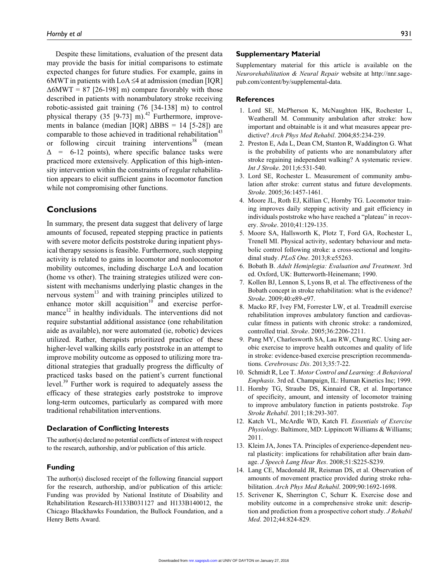Despite these limitations, evaluation of the present data may provide the basis for initial comparisons to estimate expected changes for future studies. For example, gains in 6MWT in patients with  $LoA \leq 4$  at admission (median [IQR]  $\Delta 6MWT = 87$  [26-198] m) compare favorably with those described in patients with nonambulatory stroke receiving robotic-assisted gait training (76 [34-138] m) to control physical therapy  $(35 [9-73] m)^{42}$  Furthermore, improvements in balance (median [IQR]  $\triangle BBS = 14$  [5-28]) are comparable to those achieved in traditional rehabilitation<sup>43</sup> or following circuit training interventions $38$  (mean  $\Delta$  = 6-12 points), where specific balance tasks were practiced more extensively. Application of this high-intensity intervention within the constraints of regular rehabilitation appears to elicit sufficient gains in locomotor function while not compromising other functions.

# **Conclusions**

In summary, the present data suggest that delivery of large amounts of focused, repeated stepping practice in patients with severe motor deficits poststroke during inpatient physical therapy sessions is feasible. Furthermore, such stepping activity is related to gains in locomotor and nonlocomotor mobility outcomes, including discharge LoA and location (home vs other). The training strategies utilized were consistent with mechanisms underlying plastic changes in the nervous system $13$  and with training principles utilized to enhance motor skill acquisition<sup>10</sup> and exercise performance $^{12}$  in healthy individuals. The interventions did not require substantial additional assistance (one rehabilitation aide as available), nor were automated (ie, robotic) devices utilized. Rather, therapists prioritized practice of these higher-level walking skills early poststroke in an attempt to improve mobility outcome as opposed to utilizing more traditional strategies that gradually progress the difficulty of practiced tasks based on the patient's current functional level.39 Further work is required to adequately assess the efficacy of these strategies early poststroke to improve long-term outcomes, particularly as compared with more traditional rehabilitation interventions.

#### **Declaration of Conflicting Interests**

The author(s) declared no potential conflicts of interest with respect to the research, authorship, and/or publication of this article.

### **Funding**

The author(s) disclosed receipt of the following financial support for the research, authorship, and/or publication of this article: Funding was provided by National Institute of Disability and Rehabilitation Research-H133B031127 and H133B140012, the Chicago Blackhawks Foundation, the Bullock Foundation, and a Henry Betts Award.

#### **Supplementary Material**

Supplementary material for this article is available on the *Neurorehabilitation & Neural Repair* website at [http://nnr.sage](http://nnr.sagepub.com/content/by/supplemental-data)[pub.com/content/by/supplemental-data](http://nnr.sagepub.com/content/by/supplemental-data).

#### **References**

- 1. Lord SE, McPherson K, McNaughton HK, Rochester L, Weatherall M. Community ambulation after stroke: how important and obtainable is it and what measures appear predictive? *Arch Phys Med Rehabil*. 2004;85:234-239.
- 2. Preston E, Ada L, Dean CM, Stanton R, Waddington G. What is the probability of patients who are nonambulatory after stroke regaining independent walking? A systematic review. *Int J Stroke*. 2011;6:531-540.
- 3. Lord SE, Rochester L. Measurement of community ambulation after stroke: current status and future developments. *Stroke*. 2005;36:1457-1461.
- 4. Moore JL, Roth EJ, Killian C, Hornby TG. Locomotor training improves daily stepping activity and gait efficiency in individuals poststroke who have reached a "plateau" in recovery. *Stroke*. 2010;41:129-135.
- 5. Moore SA, Hallsworth K, Plotz T, Ford GA, Rochester L, Trenell MI. Physical activity, sedentary behaviour and metabolic control following stroke: a cross-sectional and longitudinal study. *PLoS One*. 2013;8:e55263.
- 6. Bobath B. *Adult Hemiplegia: Evaluation and Treatment*. 3rd ed. Oxford, UK: Butterworth-Heinemann; 1990.
- 7. Kollen BJ, Lennon S, Lyons B, et al. The effectiveness of the Bobath concept in stroke rehabilitation: what is the evidence? *Stroke*. 2009;40:e89-e97.
- 8. Macko RF, Ivey FM, Forrester LW, et al. Treadmill exercise rehabilitation improves ambulatory function and cardiovascular fitness in patients with chronic stroke: a randomized, controlled trial. *Stroke*. 2005;36:2206-2211.
- 9. Pang MY, Charlesworth SA, Lau RW, Chung RC. Using aerobic exercise to improve health outcomes and quality of life in stroke: evidence-based exercise prescription recommendations. *Cerebrovasc Dis*. 2013;35:7-22.
- 10. Schmidt R, Lee T. *Motor Control and Learning: A Behavioral Emphasis*. 3rd ed. Champaign, IL: Human Kinetics Inc; 1999.
- 11. Hornby TG, Straube DS, Kinnaird CR, et al. Importance of specificity, amount, and intensity of locomotor training to improve ambulatory function in patients poststroke. *Top Stroke Rehabil*. 2011;18:293-307.
- 12. Katch VL, McArdle WD, Katch FI. *Essentials of Exercise Physiology*. Baltimore, MD: Lippincott Williams & Williams; 2011.
- 13. Kleim JA, Jones TA. Principles of experience-dependent neural plasticity: implications for rehabilitation after brain damage. *J Speech Lang Hear Res*. 2008;51:S225-S239.
- 14. Lang CE, Macdonald JR, Reisman DS, et al. Observation of amounts of movement practice provided during stroke rehabilitation. *Arch Phys Med Rehabil*. 2009;90:1692-1698.
- 15. Scrivener K, Sherrington C, Schurr K. Exercise dose and mobility outcome in a comprehensive stroke unit: description and prediction from a prospective cohort study. *J Rehabil Med*. 2012;44:824-829.